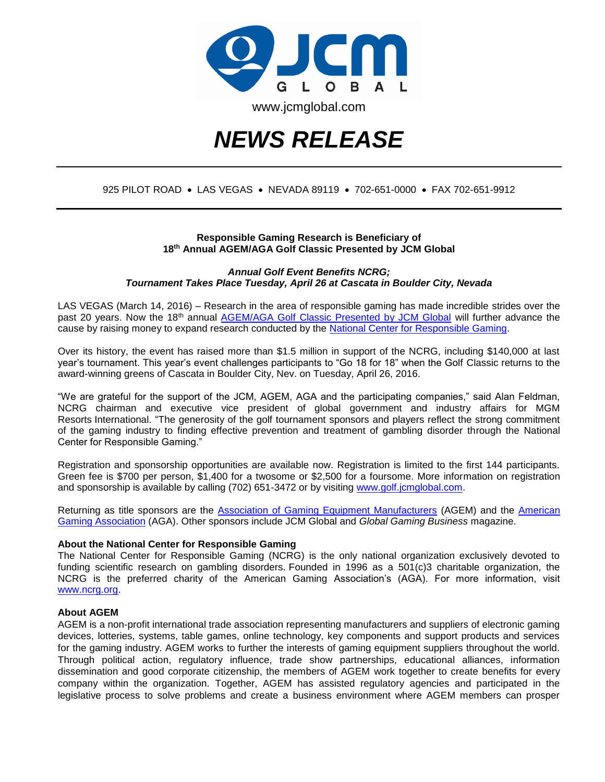

# *NEWS RELEASE*

## 925 PILOT ROAD . LAS VEGAS . NEVADA 89119 . 702-651-0000 . FAX 702-651-9912

### **Responsible Gaming Research is Beneficiary of 18th Annual AGEM/AGA Golf Classic Presented by JCM Global**

*Annual Golf Event Benefits NCRG; Tournament Takes Place Tuesday, April 26 at Cascata in Boulder City, Nevada*

LAS VEGAS (March 14, 2016) – Research in the area of responsible gaming has made incredible strides over the past 20 years. Now the 18<sup>th</sup> annual [AGEM/AGA Golf Classic Presented by JCM Global](http://www.golf.jcmglobal.com/) will further advance the cause by raising money to expand research conducted by the [National Center for Responsible Gaming.](http://www.ncrg.org/)

Over its history, the event has raised more than \$1.5 million in support of the NCRG, including \$140,000 at last year's tournament. This year's event challenges participants to "Go 18 for 18" when the Golf Classic returns to the award-winning greens of Cascata in Boulder City, Nev. on Tuesday, April 26, 2016.

"We are grateful for the support of the JCM, AGEM, AGA and the participating companies," said Alan Feldman, NCRG chairman and executive vice president of global government and industry affairs for MGM Resorts International. "The generosity of the golf tournament sponsors and players reflect the strong commitment of the gaming industry to finding effective prevention and treatment of gambling disorder through the National Center for Responsible Gaming."

Registration and sponsorship opportunities are available now. Registration is limited to the first 144 participants. Green fee is \$700 per person, \$1,400 for a twosome or \$2,500 for a foursome. More information on registration and sponsorship is available by calling (702) 651-3472 or by visiting [www.golf.jcmglobal.com.](http://www.golf.jcmglobal.com/)

Returning as title sponsors are the [Association of Gaming Equipment Manufacturers](http://www.agem.org/) (AGEM) and the [American](http://www.americangaming.org/)  [Gaming Association](http://www.americangaming.org/) (AGA). Other sponsors include JCM Global and *Global Gaming Business* magazine.

#### **About the National Center for Responsible Gaming**

The National Center for Responsible Gaming (NCRG) is the only national organization exclusively devoted to funding scientific research on gambling disorders. Founded in 1996 as a 501(c)3 charitable organization, the NCRG is the preferred charity of the American Gaming Association's (AGA). For more information, visit [www.ncrg.org.](http://www.ncrg.org/)

#### **About AGEM**

AGEM is a non-profit international trade association representing manufacturers and suppliers of electronic gaming devices, lotteries, systems, table games, online technology, key components and support products and services for the gaming industry. AGEM works to further the interests of gaming equipment suppliers throughout the world. Through political action, regulatory influence, trade show partnerships, educational alliances, information dissemination and good corporate citizenship, the members of AGEM work together to create benefits for every company within the organization. Together, AGEM has assisted regulatory agencies and participated in the legislative process to solve problems and create a business environment where AGEM members can prosper